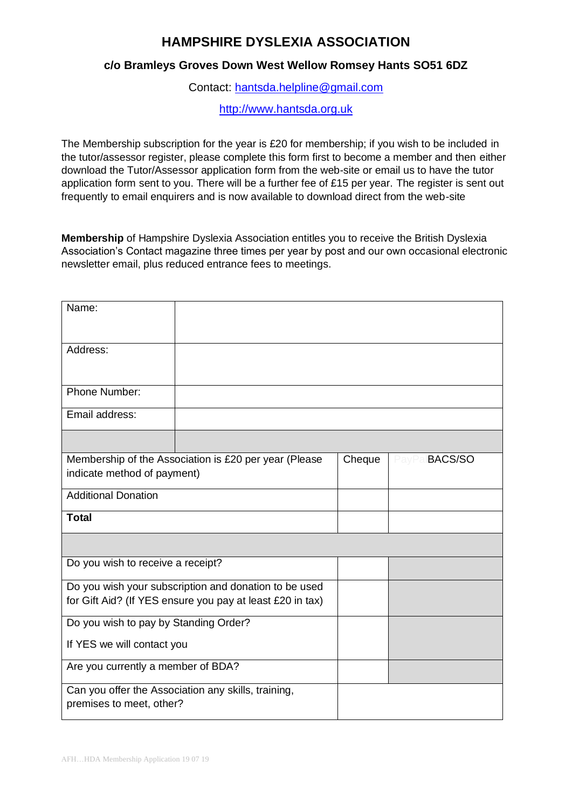## **HAMPSHIRE DYSLEXIA ASSOCIATION**

## **c/o Bramleys Groves Down West Wellow Romsey Hants SO51 6DZ**

Contact: [hantsda.helpline@gmail.com](file:///C:/Users/Drew/AppData/Local/Packages/microsoft.windowscommunicationsapps_8wekyb3d8bbwe/LocalState/Files/S0/5260/Attachments/hantsda.helpline@gmail.com)

[http://www.hantsda.org.uk](http://www.hantsda.org.uk/)

The Membership subscription for the year is £20 for membership; if you wish to be included in the tutor/assessor register, please complete this form first to become a member and then either download the Tutor/Assessor application form from the web-site or email us to have the tutor application form sent to you. There will be a further fee of £15 per year. The register is sent out frequently to email enquirers and is now available to download direct from the web-site

**Membership** of Hampshire Dyslexia Association entitles you to receive the British Dyslexia Association's Contact magazine three times per year by post and our own occasional electronic newsletter email, plus reduced entrance fees to meetings.

| Name:                                                                                                              |  |        |               |
|--------------------------------------------------------------------------------------------------------------------|--|--------|---------------|
| Address:                                                                                                           |  |        |               |
| Phone Number:                                                                                                      |  |        |               |
| Email address:                                                                                                     |  |        |               |
|                                                                                                                    |  |        |               |
| Membership of the Association is £20 per year (Please<br>indicate method of payment)                               |  | Cheque | PayPalBACS/SO |
| <b>Additional Donation</b>                                                                                         |  |        |               |
| <b>Total</b>                                                                                                       |  |        |               |
|                                                                                                                    |  |        |               |
| Do you wish to receive a receipt?                                                                                  |  |        |               |
| Do you wish your subscription and donation to be used<br>for Gift Aid? (If YES ensure you pay at least £20 in tax) |  |        |               |
| Do you wish to pay by Standing Order?                                                                              |  |        |               |
| If YES we will contact you                                                                                         |  |        |               |
| Are you currently a member of BDA?                                                                                 |  |        |               |
| Can you offer the Association any skills, training,<br>premises to meet, other?                                    |  |        |               |